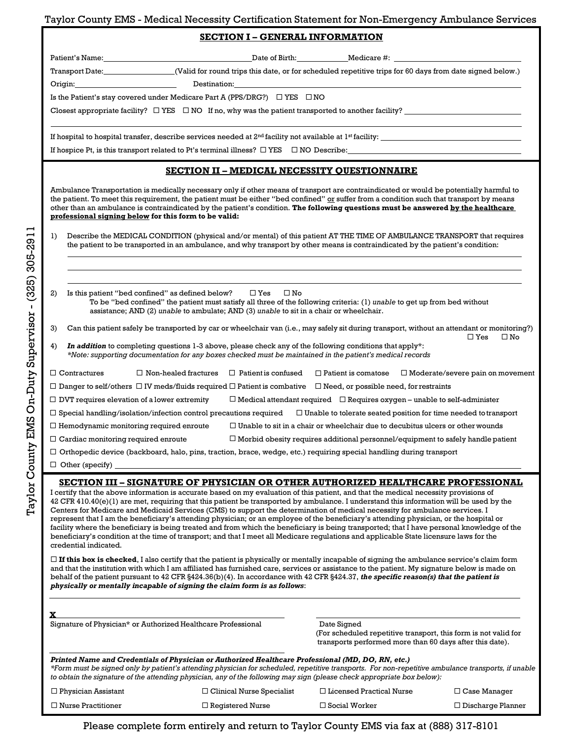## Taylor County EMS - Medical Necessity Certification Statement for Non-Emergency Ambulance Services

Patient's Name: Name: Date of Birth: Name: Date of Birth: Medicare #:

Transport Date:\_\_\_\_\_\_\_\_\_\_\_\_\_\_\_\_\_\_\_(Valid for round trips this date, or for scheduled repetitive trips for 60 days from date signed below.)

Origin: Destination:

Is the Patient's stay covered under Medicare Part A (PPS/DRG?)  $\Box$  YES  $\Box$  NO

Closest appropriate facility?  $\Box$  YES  $\Box$  NO If no, why was the patient transported to another facility?

If hospital to hospital transfer, describe services needed at 2<sup>nd</sup> facility not available at 1<sup>st</sup> facility:

If hospice Pt, is this transport related to Pt's terminal illness?  $\Box$  YES  $\Box$  NO Describe:

## **SECTION II – MEDICAL NECESSITY QUESTIONNAIRE**

Ambulance Transportation is medically necessary only if other means of transport are contraindicated or would be potentially harmful to the patient. To meet this requirement, the patient must be either "bed confined" or suffer from a condition such that transport by means other than an ambulance is contraindicated by the patient's condition. **The following questions must be answered by the healthcare professional signing below for this form to be valid:**

1) Describe the MEDICAL CONDITION (physical and/or mental) of this patient AT THE TIME OF AMBULANCE TRANSPORT that requires the patient to be transported in an ambulance, and why transport by other means is contraindicated by the patient's condition:

- 2) Is this patient "bed confined" as defined below?  $\Box$  Yes  $\Box$  No To be "bed confined" the patient must satisfy all three of the following criteria: (1) *unable* to get up from bed without assistance; AND (2) *unable* to ambulate; AND (3) *unable* to sit in a chair or wheelchair.
- 3) Can this patient safely be transported by car or wheelchair van (i.e., may safely sit during transport, without an attendant or monitoring?)  $\Box$  Yes  $\Box$  No
- In addition to completing questions 1-3 above, please check any of the following conditions that apply<sup>\*</sup>: *\*Note: supporting documentation for any boxes checked must be maintained in the patient's medical records*

| $\Box$ Contractures                                                                                                                                | $\Box$ Non-healed fractures | $\Box$ Patient is confused                                                             | $\Box$ Patient is comatose | $\Box$ Moderate/severe pain on movement |  |
|----------------------------------------------------------------------------------------------------------------------------------------------------|-----------------------------|----------------------------------------------------------------------------------------|----------------------------|-----------------------------------------|--|
| $\Box$ Danger to self/others $\Box$ IV meds/fluids required $\Box$ Patient is combative<br>$\Box$ Need, or possible need, for restraints           |                             |                                                                                        |                            |                                         |  |
| $\Box$ DVT requires elevation of a lower extremity                                                                                                 |                             | $\Box$ Medical attendant required $\Box$ Requires oxygen – unable to self-administer   |                            |                                         |  |
| $\Box$ Special handling/isolation/infection control precautions required<br>$\Box$ Unable to tolerate seated position for time needed to transport |                             |                                                                                        |                            |                                         |  |
| $\Box$ Hemodynamic monitoring required enroute                                                                                                     |                             | $\Box$ Unable to sit in a chair or wheelchair due to decubitus ulcers or other wounds  |                            |                                         |  |
| $\Box$ Cardiac monitoring required enroute                                                                                                         |                             | $\Box$ Morbid obesity requires additional personnel/equipment to safely handle patient |                            |                                         |  |
| $\Box$ Orthopedic device (backboard, halo, pins, traction, brace, wedge, etc.) requiring special handling during transport                         |                             |                                                                                        |                            |                                         |  |
| $\Box$ Other (specify)                                                                                                                             |                             |                                                                                        |                            |                                         |  |
|                                                                                                                                                    |                             |                                                                                        |                            |                                         |  |

### **SECTION III – SIGNATURE OF PHYSICIAN OR OTHER AUTHORIZED HEALTHCARE PROFESSIONAL**

I certify that the above information is accurate based on my evaluation of this patient, and that the medical necessity provisions of  $42$  CFR  $410.40(e)(1)$  are met, requiring that this patient be transported by ambulance. I understand this information will be used by the Centers for Medicare and Medicaid Services (CMS) to support the determination of medical necessity for ambulance services. I represent that I am the beneficiary's attending physician; or an employee of the beneficiary's attending physician, or the hospital or facility where the beneficiary is being treated and from which the beneficiary is being transported; that I have personal knowledge of the beneficiary's condition at the time of transport; and that I meet all Medicare regulations and applicable State licensure laws for the credential indicated.

 $\Box$  If this box is checked, I also certify that the patient is physically or mentally incapable of signing the ambulance service's claim form and that the institution with which I am affiliated has furnished care, services or assistance to the patient. My signature below is made on behalf of the patient pursuant to 42 CFR §424.36(b)(4). In accordance with 42 CFR §424.37, *the specific reason(s) that the patient is physically or mentally incapable of signing the claim form is as follows*:

| Signature of Physician* or Authorized Healthcare Professional                                                                                                                                                                 |                                  | Date Signed<br>(For scheduled repetitive transport, this form is not valid for<br>transports performed more than 60 days after this date).          |                          |  |
|-------------------------------------------------------------------------------------------------------------------------------------------------------------------------------------------------------------------------------|----------------------------------|-----------------------------------------------------------------------------------------------------------------------------------------------------|--------------------------|--|
| Printed Name and Credentials of Physician or Authorized Healthcare Professional (MD, DO, RN, etc.)<br>to obtain the signature of the attending physician, any of the following may sign (please check appropriate box below): |                                  | *Form must be signed only by patient's attending physician for scheduled, repetitive transports. For non-repetitive ambulance transports, if unable |                          |  |
| $\Box$ Physician Assistant                                                                                                                                                                                                    | $\Box$ Clinical Nurse Specialist | $\Box$ Licensed Practical Nurse                                                                                                                     | $\Box$ Case Manager      |  |
| $\Box$ Nurse Practitioner                                                                                                                                                                                                     | $\Box$ Registered Nurse          | $\Box$ Social Worker                                                                                                                                | $\Box$ Discharge Planner |  |

Please complete form entirely and return to Taylor County EMS via fax at (888) 317-8101